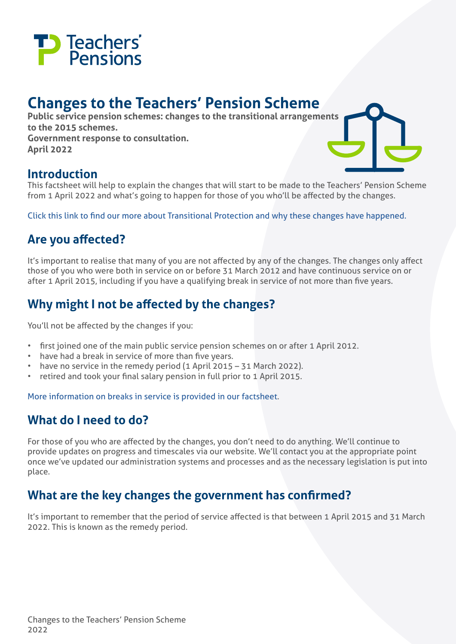

# **Changes to the Teachers' Pension Scheme**

**Public service pension schemes: changes to the transitional arrangements to the 2015 schemes. Government response to consultation. April 2022**

#### **Introduction**

This factsheet will help to explain the changes that will start to be made to the Teachers' Pension Scheme from 1 April 2022 and what's going to happen for those of you who'll be affected by the changes.

[Click this link to](https://www.gov.uk/government/consultations/public-service-pension-schemes-consultation-changes-to-the-transitional-arrangements-to-the-2015-schemes) find our more about Transitional Protection and why these changes have happened.

# **Are you affected?**

It's important to realise that many of you are not affected by any of the changes. The changes only affect those of you who were both in service on or before 31 March 2012 and have continuous service on or after 1 April 2015, including if you have a qualifying break in service of not more than five years.

# **Why might I not be affected by the changes?**

You'll not be affected by the changes if you:

- first joined one of the main public service pension schemes on or after 1 April 2012.
- have had a break in service of more than five years.
- have no service in the remedy period (1 April 2015 31 March 2022).
- retired and took your final salary pension in full prior to 1 April 2015.

[More information on breaks in service is provided in our factsheet](https://www.teacherspensions.co.uk/-/media/documents/member/factsheets/miscellaneous/understanding-scheme-changes/breaks-in-service-factsheet.ashx?rev=08887f31112b418a9746dfcb471e6d14&hash=92D1714DA217BF2742435784398E2D5C#:%7E:text=What%20is%20a%20disqualifying%20break,or%20after%201%20April%202012.).

#### **What do I need to do?**

For those of you who are affected by the changes, you don't need to do anything. We'll continue to provide updates on progress and timescales via our website. We'll contact you at the appropriate point once we've updated our administration systems and processes and as the necessary legislation is put into place.

#### **What are the key changes the government has confirmed?**

It's important to remember that the period of service affected is that between 1 April 2015 and 31 March 2022. This is known as the remedy period.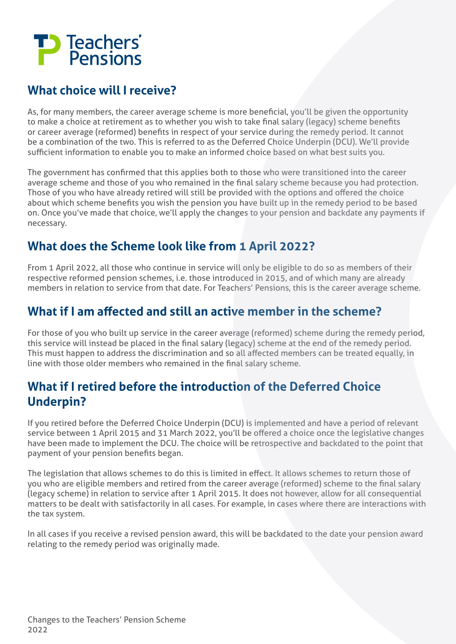

# **What choice will I receive?**

As, for many members, the career average scheme is more beneficial, you'll be given the opportunity to make a choice at retirement as to whether you wish to take final salary (legacy) scheme benefits or career average (reformed) benefits in respect of your service during the remedy period. It cannot be a combination of the two. This is referred to as the Deferred Choice Underpin (DCU). We'll provide sufficient information to enable you to make an informed choice based on what best suits you.

The government has confirmed that this applies both to those who were transitioned into the career average scheme and those of you who remained in the final salary scheme because you had protection. Those of you who have already retired will still be provided with the options and offered the choice about which scheme benefits you wish the pension you have built up in the remedy period to be based on. Once you've made that choice, we'll apply the changes to your pension and backdate any payments if necessary.

# **What does the Scheme look like from 1 April 2022?**

From 1 April 2022, all those who continue in service will only be eligible to do so as members of their respective reformed pension schemes, i.e. those introduced in 2015, and of which many are already members in relation to service from that date. For Teachers' Pensions, this is the career average scheme.

### **What if I am affected and still an active member in the scheme?**

For those of you who built up service in the career average (reformed) scheme during the remedy period, this service will instead be placed in the final salary (legacy) scheme at the end of the remedy period. This must happen to address the discrimination and so all affected members can be treated equally, in line with those older members who remained in the final salary scheme.

### **What if I retired before the introduction of the Deferred Choice Underpin?**

If you retired before the Deferred Choice Underpin (DCU) is implemented and have a period of relevant service between 1 April 2015 and 31 March 2022, you'll be offered a choice once the legislative changes have been made to implement the DCU. The choice will be retrospective and backdated to the point that payment of your pension benefits began.

The legislation that allows schemes to do this is limited in effect. It allows schemes to return those of you who are eligible members and retired from the career average (reformed) scheme to the final salary (legacy scheme) in relation to service after 1 April 2015. It does not however, allow for all consequential matters to be dealt with satisfactorily in all cases. For example, in cases where there are interactions with the tax system.

In all cases if you receive a revised pension award, this will be backdated to the date your pension award relating to the remedy period was originally made.